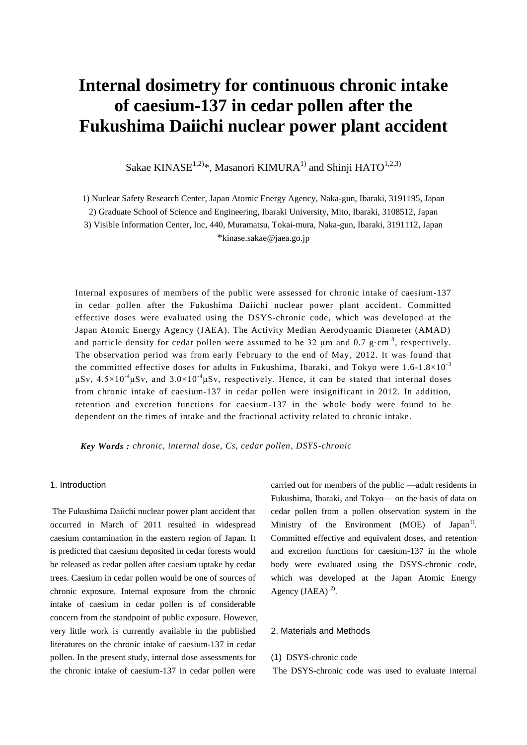# **Internal dosimetry for continuous chronic intake of caesium-137 in cedar pollen after the Fukushima Daiichi nuclear power plant accident**

Sakae KINAS $E^{1,2)*}$ , Masanori KIMURA<sup>1)</sup> and Shinji HATO<sup>1,2,3)</sup>

1) Nuclear Safety Research Center, Japan Atomic Energy Agency, Naka-gun, Ibaraki, 3191195, Japan

2) Graduate School of Science and Engineering, Ibaraki University, Mito, Ibaraki, 3108512, Japan

3) Visible Information Center, Inc, 440, Muramatsu, Tokai-mura, Naka-gun, Ibaraki, 3191112, Japan \*kinase.sakae@jaea.go.jp

Internal exposures of members of the public were assessed for chronic intake of caesium-137 in cedar pollen after the Fukushima Daiichi nuclear power plant accident. Committed effective doses were evaluated using the DSYS-chronic code, which was developed at the Japan Atomic Energy Agency (JAEA). The Activity Median Aerodynamic Diameter (AMAD) and particle density for cedar pollen were assumed to be 32  $\mu$ m and 0.7 g·cm<sup>-3</sup>, respectively. The observation period was from early February to the end of May, 2012. It was found that the committed effective doses for adults in Fukushima, Ibaraki, and Tokyo were  $1.6$ - $1.8 \times 10^{-3}$ μSv,  $4.5 \times 10^{-4}$ μSv, and  $3.0 \times 10^{-4}$ μSv, respectively. Hence, it can be stated that internal doses from chronic intake of caesium-137 in cedar pollen were insignificant in 2012. In addition, retention and excretion functions for caesium-137 in the whole body were found to be dependent on the times of intake and the fractional activity related to chronic intake.

*Key Words : chronic, internal dose, Cs, cedar pollen, DSYS-chronic*

## 1. Introduction

The Fukushima Daiichi nuclear power plant accident that occurred in March of 2011 resulted in widespread caesium contamination in the eastern region of Japan. It is predicted that caesium deposited in cedar forests would be released as cedar pollen after caesium uptake by cedar trees. Caesium in cedar pollen would be one of sources of chronic exposure. Internal exposure from the chronic intake of caesium in cedar pollen is of considerable concern from the standpoint of public exposure. However, very little work is currently available in the published literatures on the chronic intake of caesium-137 in cedar pollen. In the present study, internal dose assessments for the chronic intake of caesium-137 in cedar pollen were

carried out for members of the public —adult residents in Fukushima, Ibaraki, and Tokyo— on the basis of data on cedar pollen from a pollen observation system in the Ministry of the Environment (MOE) of Japan<sup>1)</sup>. Committed effective and equivalent doses, and retention and excretion functions for caesium-137 in the whole body were evaluated using the DSYS-chronic code, which was developed at the Japan Atomic Energy Agency (JAEA) $<sup>2</sup>$ .</sup>

## 2. Materials and Methods

#### (1) DSYS-chronic code

The DSYS-chronic code was used to evaluate internal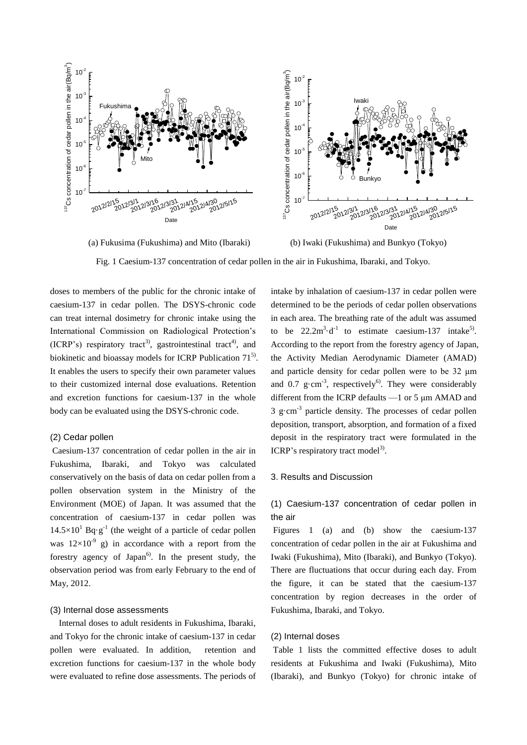

(a) Fukusima (Fukushima) and Mito (Ibaraki) (b) Iwaki (Fukushima) and Bunkyo (Tokyo)

Fig. 1 Caesium-137 concentration of cedar pollen in the air in Fukushima, Ibaraki, and Tokyo.

doses to members of the public for the chronic intake of caesium-137 in cedar pollen. The DSYS-chronic code can treat internal dosimetry for chronic intake using the International Commission on Radiological Protection's (ICRP's) respiratory tract<sup>3</sup>, gastrointestinal tract<sup>4</sup>, and biokinetic and bioassay models for ICRP Publication  $71^{5}$ . It enables the users to specify their own parameter values to their customized internal dose evaluations. Retention and excretion functions for caesium-137 in the whole body can be evaluated using the DSYS-chronic code.

## (2) Cedar pollen

Caesium-137 concentration of cedar pollen in the air in Fukushima, Ibaraki, and Tokyo was calculated conservatively on the basis of data on cedar pollen from a pollen observation system in the Ministry of the Environment (MOE) of Japan. It was assumed that the concentration of caesium-137 in cedar pollen was  $14.5 \times 10^{1}$  Bq·g<sup>-1</sup> (the weight of a particle of cedar pollen was  $12\times10^{-9}$  g) in accordance with a report from the forestry agency of Japan $^{6}$ . In the present study, the observation period was from early February to the end of May, 2012.

### (3) Internal dose assessments

Internal doses to adult residents in Fukushima, Ibaraki, and Tokyo for the chronic intake of caesium-137 in cedar pollen were evaluated. In addition, retention and excretion functions for caesium-137 in the whole body were evaluated to refine dose assessments. The periods of intake by inhalation of caesium-137 in cedar pollen were determined to be the periods of cedar pollen observations in each area. The breathing rate of the adult was assumed to be  $22.2 \text{m}^3 \cdot \text{d}^{-1}$  to estimate caesium-137 intake<sup>5)</sup>. According to the report from the forestry agency of Japan, the Activity Median Aerodynamic Diameter (AMAD) and particle density for cedar pollen were to be 32 μm and 0.7  $g \cdot cm^{-3}$ , respectively<sup>6</sup>. They were considerably different from the ICRP defaults —1 or 5 μm AMAD and  $3 \text{ g/cm}^3$  particle density. The processes of cedar pollen deposition, transport, absorption, and formation of a fixed deposit in the respiratory tract were formulated in the ICRP's respiratory tract model<sup>3)</sup>.

## 3. Results and Discussion

# (1) Caesium-137 concentration of cedar pollen in the air

Figures 1 (a) and (b) show the caesium-137 concentration of cedar pollen in the air at Fukushima and Iwaki (Fukushima), Mito (Ibaraki), and Bunkyo (Tokyo). There are fluctuations that occur during each day. From the figure, it can be stated that the caesium-137 concentration by region decreases in the order of Fukushima, Ibaraki, and Tokyo.

## (2) Internal doses

Table 1 lists the committed effective doses to adult residents at Fukushima and Iwaki (Fukushima), Mito (Ibaraki), and Bunkyo (Tokyo) for chronic intake of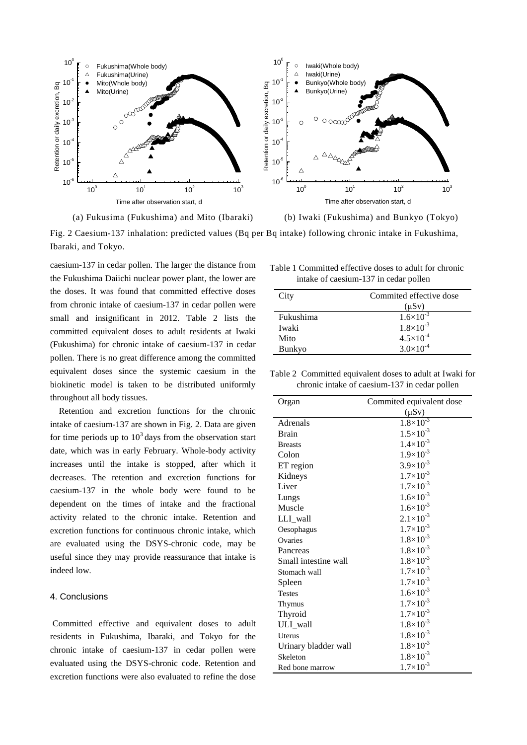

(a) Fukusima (Fukushima) and Mito (Ibaraki) (b) Iwaki (Fukushima) and Bunkyo (Tokyo)

Fig. 2 Caesium-137 inhalation: predicted values (Bq per Bq intake) following chronic intake in Fukushima, Ibaraki, and Tokyo.

caesium-137 in cedar pollen. The larger the distance from the Fukushima Daiichi nuclear power plant, the lower are the doses. It was found that committed effective doses from chronic intake of caesium-137 in cedar pollen were small and insignificant in 2012. Table 2 lists the committed equivalent doses to adult residents at Iwaki (Fukushima) for chronic intake of caesium-137 in cedar pollen. There is no great difference among the committed equivalent doses since the systemic caesium in the biokinetic model is taken to be distributed uniformly throughout all body tissues.

Retention and excretion functions for the chronic intake of caesium-137 are shown in Fig. 2. Data are given for time periods up to  $10<sup>3</sup>$  days from the observation start date, which was in early February. Whole-body activity increases until the intake is stopped, after which it decreases. The retention and excretion functions for caesium-137 in the whole body were found to be dependent on the times of intake and the fractional activity related to the chronic intake. Retention and excretion functions for continuous chronic intake, which are evaluated using the DSYS-chronic code, may be useful since they may provide reassurance that intake is indeed low.

## 4. Conclusions

Committed effective and equivalent doses to adult residents in Fukushima, Ibaraki, and Tokyo for the chronic intake of caesium-137 in cedar pollen were evaluated using the DSYS-chronic code. Retention and excretion functions were also evaluated to refine the dose

| Table 1 Committed effective doses to adult for chronic |  |
|--------------------------------------------------------|--|
| intake of caesium-137 in cedar pollen                  |  |

| City          | Commited effective dose |
|---------------|-------------------------|
|               |                         |
|               | $(\mu Sv)$              |
| Fukushima     | $1.6 \times 10^{-3}$    |
| Iwaki         | $1.8 \times 10^{-3}$    |
| Mito          | $4.5 \times 10^{-4}$    |
| <b>Bunkyo</b> | $3.0\times10^{-4}$      |

Table 2 Committed equivalent doses to adult at Iwaki for chronic intake of caesium-137 in cedar pollen

| Organ                | Commited equivalent dose |
|----------------------|--------------------------|
|                      | $(\mu Sv)$               |
| Adrenals             | $1.8 \times 10^{-3}$     |
| <b>Brain</b>         | $1.5 \times 10^{-3}$     |
| <b>Breasts</b>       | $1.4\times10^{-3}$       |
| Colon                | $1.9\times10^{-3}$       |
| ET region            | $3.9 \times 10^{-3}$     |
| Kidneys              | $1.7 \times 10^{-3}$     |
| Liver                | $1.7 \times 10^{-3}$     |
| Lungs                | $1.6 \times 10^{-3}$     |
| Muscle               | $1.6 \times 10^{-3}$     |
| LLI_wall             | $2.1 \times 10^{-3}$     |
| Oesophagus           | $1.7 \times 10^{-3}$     |
| Ovaries              | $1.8 \times 10^{-3}$     |
| Pancreas             | $1.8\times10^{-3}$       |
| Small intestine wall | $1.8 \times 10^{-3}$     |
| Stomach wall         | $1.7 \times 10^{-3}$     |
| Spleen               | $1.7 \times 10^{-3}$     |
| <b>Testes</b>        | $1.6 \times 10^{-3}$     |
| Thymus               | $1.7 \times 10^{-3}$     |
| Thyroid              | $1.7 \times 10^{-3}$     |
| ULI_wall             | $1.8 \times 10^{-3}$     |
| Uterus               | $1.8 \times 10^{-3}$     |
| Urinary bladder wall | $1.8 \times 10^{-3}$     |
| Skeleton             | $1.8 \times 10^{-3}$     |
| Red bone marrow      | $1.7 \times 10^{-3}$     |